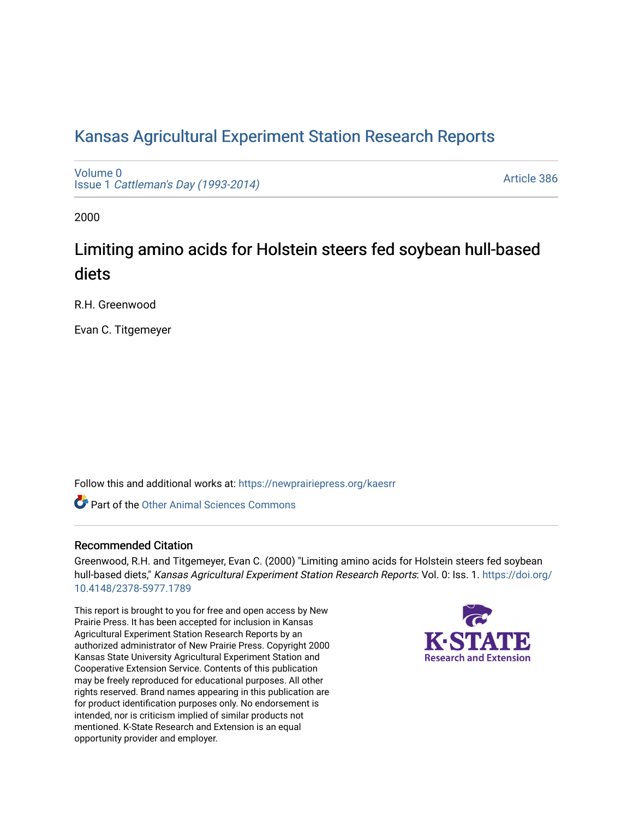# [Kansas Agricultural Experiment Station Research Reports](https://newprairiepress.org/kaesrr)

[Volume 0](https://newprairiepress.org/kaesrr/vol0) Issue 1 [Cattleman's Day \(1993-2014\)](https://newprairiepress.org/kaesrr/vol0/iss1) 

[Article 386](https://newprairiepress.org/kaesrr/vol0/iss1/386) 

2000

# Limiting amino acids for Holstein steers fed soybean hull-based diets

R.H. Greenwood

Evan C. Titgemeyer

Follow this and additional works at: [https://newprairiepress.org/kaesrr](https://newprairiepress.org/kaesrr?utm_source=newprairiepress.org%2Fkaesrr%2Fvol0%2Fiss1%2F386&utm_medium=PDF&utm_campaign=PDFCoverPages) 

**C** Part of the [Other Animal Sciences Commons](http://network.bepress.com/hgg/discipline/82?utm_source=newprairiepress.org%2Fkaesrr%2Fvol0%2Fiss1%2F386&utm_medium=PDF&utm_campaign=PDFCoverPages)

## Recommended Citation

Greenwood, R.H. and Titgemeyer, Evan C. (2000) "Limiting amino acids for Holstein steers fed soybean hull-based diets," Kansas Agricultural Experiment Station Research Reports: Vol. 0: Iss. 1. [https://doi.org/](https://doi.org/10.4148/2378-5977.1789) [10.4148/2378-5977.1789](https://doi.org/10.4148/2378-5977.1789)

This report is brought to you for free and open access by New Prairie Press. It has been accepted for inclusion in Kansas Agricultural Experiment Station Research Reports by an authorized administrator of New Prairie Press. Copyright 2000 Kansas State University Agricultural Experiment Station and Cooperative Extension Service. Contents of this publication may be freely reproduced for educational purposes. All other rights reserved. Brand names appearing in this publication are for product identification purposes only. No endorsement is intended, nor is criticism implied of similar products not mentioned. K-State Research and Extension is an equal opportunity provider and employer.

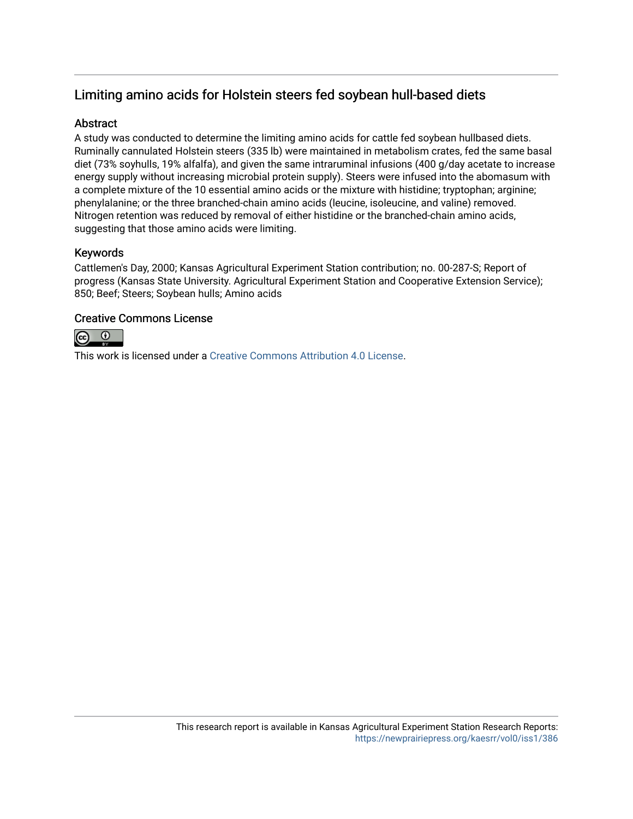# Limiting amino acids for Holstein steers fed soybean hull-based diets

# **Abstract**

A study was conducted to determine the limiting amino acids for cattle fed soybean hullbased diets. Ruminally cannulated Holstein steers (335 lb) were maintained in metabolism crates, fed the same basal diet (73% soyhulls, 19% alfalfa), and given the same intraruminal infusions (400 g/day acetate to increase energy supply without increasing microbial protein supply). Steers were infused into the abomasum with a complete mixture of the 10 essential amino acids or the mixture with histidine; tryptophan; arginine; phenylalanine; or the three branched-chain amino acids (leucine, isoleucine, and valine) removed. Nitrogen retention was reduced by removal of either histidine or the branched-chain amino acids, suggesting that those amino acids were limiting.

# Keywords

Cattlemen's Day, 2000; Kansas Agricultural Experiment Station contribution; no. 00-287-S; Report of progress (Kansas State University. Agricultural Experiment Station and Cooperative Extension Service); 850; Beef; Steers; Soybean hulls; Amino acids

# Creative Commons License



This work is licensed under a [Creative Commons Attribution 4.0 License](https://creativecommons.org/licenses/by/4.0/).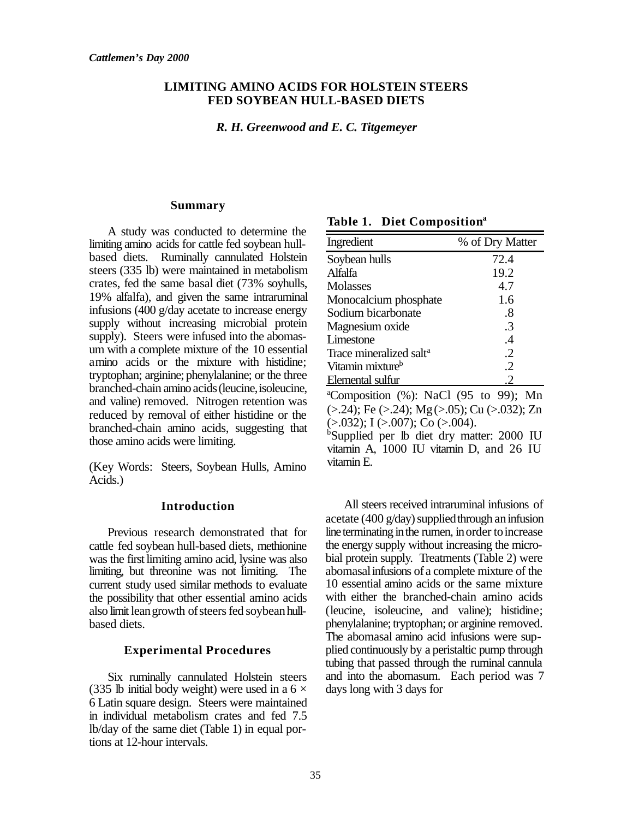### **LIMITING AMINO ACIDS FOR HOLSTEIN STEERS FED SOYBEAN HULL-BASED DIETS**

*R. H. Greenwood and E. C. Titgemeyer*

#### **Summary**

A study was conducted to determine the limiting amino acids for cattle fed soybean hullbased diets. Ruminally cannulated Holstein steers (335 lb) were maintained in metabolism crates, fed the same basal diet (73% soyhulls, 19% alfalfa), and given the same intraruminal infusions (400 g/day acetate to increase energy supply without increasing microbial protein supply). Steers were infused into the abomasum with a complete mixture of the 10 essential amino acids or the mixture with histidine; tryptophan; arginine; phenylalanine; or the three branched-chain amino acids (leucine, isoleucine, and valine) removed. Nitrogen retention was reduced by removal of either histidine or the branched-chain amino acids, suggesting that those amino acids were limiting.

(Key Words: Steers, Soybean Hulls, Amino Acids.)

### **Introduction**

Previous research demonstrated that for cattle fed soybean hull-based diets, methionine was the first limiting amino acid, lysine was also limiting, but threonine was not limiting. The current study used similar methods to evaluate the possibility that other essential amino acids also limit lean growth of steers fed soybean hullbased diets.

#### **Experimental Procedures**

Six ruminally cannulated Holstein steers (335 lb initial body weight) were used in a 6  $\times$ 6 Latin square design. Steers were maintained in individual metabolism crates and fed 7.5 lb/day of the same diet (Table 1) in equal portions at 12-hour intervals.

**Table 1. Diet Composition<sup>a</sup>**

| Ingredient                          | % of Dry Matter |
|-------------------------------------|-----------------|
| Soybean hulls                       | 72.4            |
| Alfalfa                             | 19.2            |
| <b>Molasses</b>                     | 4.7             |
| Monocalcium phosphate               | 1.6             |
| Sodium bicarbonate                  | .8              |
| Magnesium oxide                     | .3              |
| Limestone                           | $\cdot$         |
| Trace mineralized salt <sup>a</sup> | .2              |
| Vitamin mixture <sup>b</sup>        | .2              |
| Elemental sulfur                    |                 |

<sup>a</sup>Composition  $(\%)$ : NaCl  $(95 \text{ to } 99)$ ; Mn (>.24); Fe (>.24); Mg(>.05); Cu (>.032); Zn  $(>0.032)$ ; I  $(>0.007)$ ; Co  $(>0.004)$ . <sup>b</sup>Supplied per lb diet dry matter: 2000 IU vitamin A, 1000 IU vitamin D, and 26 IU

vitamin E.

All steers received intraruminal infusions of acetate (400  $g$ /day) supplied through an infusion line terminating in the rumen, in order to increase the energy supply without increasing the microbial protein supply. Treatments (Table 2) were abomasalinfusions of a complete mixture of the 10 essential amino acids or the same mixture with either the branched-chain amino acids (leucine, isoleucine, and valine); histidine; phenylalanine; tryptophan; or arginine removed. The abomasal amino acid infusions were supplied continuously by a peristaltic pump through tubing that passed through the ruminal cannula and into the abomasum. Each period was 7 days long with 3 days for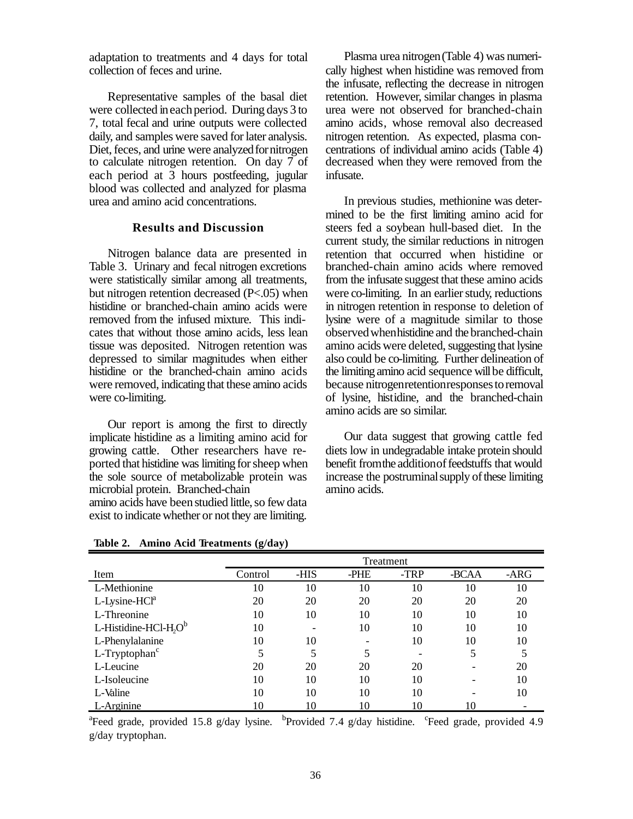adaptation to treatments and 4 days for total collection of feces and urine.

Representative samples of the basal diet were collected ineachperiod. During days 3 to 7, total fecal and urine outputs were collected daily, and samples were saved for later analysis. Diet, feces, and urine were analyzed for nitrogen to calculate nitrogen retention. On day 7 of each period at 3 hours postfeeding, jugular blood was collected and analyzed for plasma urea and amino acid concentrations.

#### **Results and Discussion**

Nitrogen balance data are presented in Table 3. Urinary and fecal nitrogen excretions were statistically similar among all treatments, but nitrogen retention decreased (P<.05) when histidine or branched-chain amino acids were removed from the infused mixture. This indicates that without those amino acids, less lean tissue was deposited. Nitrogen retention was depressed to similar magnitudes when either histidine or the branched-chain amino acids were removed, indicating that these amino acids were co-limiting.

Our report is among the first to directly implicate histidine as a limiting amino acid for growing cattle. Other researchers have reported that histidine was limiting forsheep when the sole source of metabolizable protein was microbial protein. Branched-chain

amino acids have beenstudied little,so few data exist to indicate whether or not they are limiting.

Plasma urea nitrogen(Table 4) was numerically highest when histidine was removed from the infusate, reflecting the decrease in nitrogen retention. However, similar changes in plasma urea were not observed for branched-chain amino acids, whose removal also decreased nitrogen retention. As expected, plasma concentrations of individual amino acids (Table 4) decreased when they were removed from the infusate.

In previous studies, methionine was determined to be the first limiting amino acid for steers fed a soybean hull-based diet. In the current study, the similar reductions in nitrogen retention that occurred when histidine or branched-chain amino acids where removed from the infusate suggest that these amino acids were co-limiting. In an earlier study, reductions in nitrogen retention in response to deletion of lysine were of a magnitude similar to those observedwhenhistidine and the branched-chain amino acids were deleted, suggesting that lysine also could be co-limiting. Further delineation of the limiting amino acid sequence will be difficult, because nitrogenretentionresponsestoremoval of lysine, histidine, and the branched-chain amino acids are so similar.

Our data suggest that growing cattle fed diets low in undegradable intake protein should benefit from the addition of feedstuffs that would increase the postruminal supply of these limiting amino acids.

|                              | Treatment |      |      |      |       |        |  |  |
|------------------------------|-----------|------|------|------|-------|--------|--|--|
| Item                         | Control   | -HIS | -PHE | -TRP | -BCAA | $-ARG$ |  |  |
| L-Methionine                 | 10        | 10   | 10   | 10   | 10    | 10     |  |  |
| $L$ -Lysine-HC $l^a$         | 20        | 20   | 20   | 20   | 20    | 20     |  |  |
| L-Threonine                  | 10        | 10   | 10   | 10   | 10    | 10     |  |  |
| L-Histidine-HCl- $H, O^b$    | 10        |      | 10   | 10   | 10    | 10     |  |  |
| L-Phenylalanine              | 10        | 10   |      | 10   | 10    | 10     |  |  |
| $L$ -Tryptophan <sup>c</sup> |           | 5    |      |      | 5     |        |  |  |
| L-Leucine                    | 20        | 20   | 20   | 20   |       | 20     |  |  |
| L-Isoleucine                 | 10        | 10   | 10   | 10   |       | 10     |  |  |
| L-Valine                     | 10        | 10   | 10   | 10   |       | 10     |  |  |
| L-Arginine                   | 10        | 10   | 10   | 10   | 10    |        |  |  |

**Table 2. Amino Acid Treatments (g/day)**

<sup>a</sup>Feed grade, provided 15.8 g/day lysine. <sup>b</sup>Provided 7.4 g/day histidine. <sup>c</sup>Feed grade, provided 4.9 g/day tryptophan.